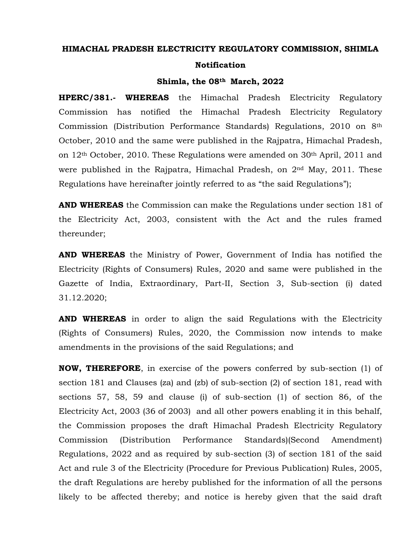#### **HIMACHAL PRADESH ELECTRICITY REGULATORY COMMISSION, SHIMLA**

#### **Notification**

#### **Shimla, the 08th March, 2022**

**HPERC/381.- WHEREAS** the Himachal Pradesh Electricity Regulatory Commission has notified the Himachal Pradesh Electricity Regulatory Commission (Distribution Performance Standards) Regulations, 2010 on 8th October, 2010 and the same were published in the Rajpatra, Himachal Pradesh, on 12th October, 2010. These Regulations were amended on 30th April, 2011 and were published in the Rajpatra, Himachal Pradesh, on  $2<sup>nd</sup>$  May, 2011. These Regulations have hereinafter jointly referred to as "the said Regulations");

**AND WHEREAS** the Commission can make the Regulations under section 181 of the Electricity Act, 2003, consistent with the Act and the rules framed thereunder;

**AND WHEREAS** the Ministry of Power, Government of India has notified the Electricity (Rights of Consumers) Rules, 2020 and same were published in the Gazette of India, Extraordinary, Part-II, Section 3, Sub-section (i) dated 31.12.2020;

**AND WHEREAS** in order to align the said Regulations with the Electricity (Rights of Consumers) Rules, 2020, the Commission now intends to make amendments in the provisions of the said Regulations; and

**NOW, THEREFORE**, in exercise of the powers conferred by sub-section (1) of section 181 and Clauses (za) and (zb) of sub-section (2) of section 181, read with sections 57, 58, 59 and clause (i) of sub-section (1) of section 86, of the Electricity Act, 2003 (36 of 2003) and all other powers enabling it in this behalf, the Commission proposes the draft Himachal Pradesh Electricity Regulatory Commission (Distribution Performance Standards)(Second Amendment) Regulations, 2022 and as required by sub-section (3) of section 181 of the said Act and rule 3 of the Electricity (Procedure for Previous Publication) Rules, 2005, the draft Regulations are hereby published for the information of all the persons likely to be affected thereby; and notice is hereby given that the said draft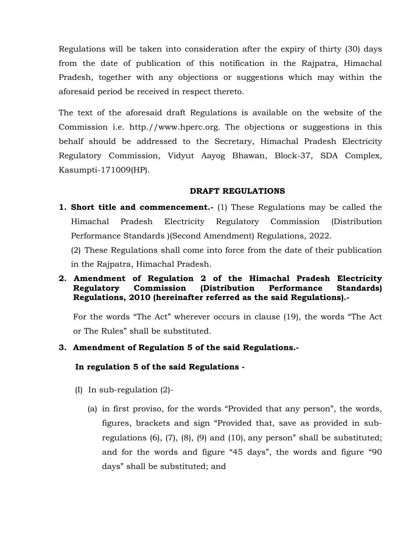Regulations will be taken into consideration after the expiry of thirty (30) days from the date of publication of this notification in the Rajpatra, Himachal Pradesh, together with any objections or suggestions which may within the aforesaid period be received in respect thereto.

The text of the aforesaid draft Regulations is available on the website of the Commission i.e. http.//www.hperc.org. The objections or suggestions in this behalf should be addressed to the Secretary, Himachal Pradesh Electricity Regulatory Commission, Vidyut Aayog Bhawan, Block-37, SDA Complex, Kasumpti-171009(HP).

#### **DRAFT REGULATIONS**

**1. Short title and commencement.-** (1) These Regulations may be called the Himachal Pradesh Electricity Regulatory Commission (Distribution Performance Standards )(Second Amendment) Regulations, 2022.

(2) These Regulations shall come into force from the date of their publication in the Rajpatra, Himachal Pradesh.

## **2. Amendment of Regulation 2 of the Himachal Pradesh Electricity Regulatory Commission (Distribution Performance Standards) Regulations, 2010 (hereinafter referred as the said Regulations).-**

For the words "The Act" wherever occurs in clause (19), the words "The Act or The Rules" shall be substituted.

### **3. Amendment of Regulation 5 of the said Regulations.-**

#### **In regulation 5 of the said Regulations -**

- (I) In sub-regulation (2)-
	- (a) in first proviso, for the words "Provided that any person", the words, figures, brackets and sign "Provided that, save as provided in subregulations (6), (7), (8), (9) and (10), any person" shall be substituted; and for the words and figure "45 days", the words and figure "90 days" shall be substituted; and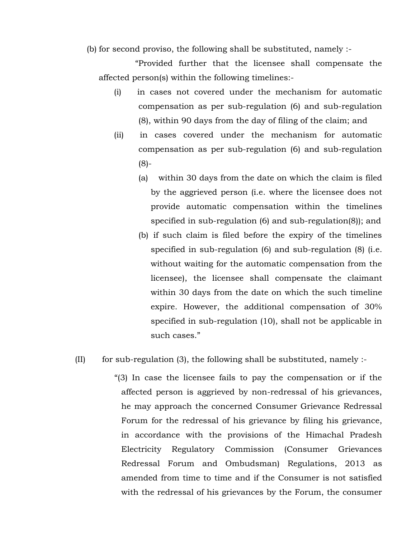(b) for second proviso, the following shall be substituted, namely :-

 "Provided further that the licensee shall compensate the affected person(s) within the following timelines:-

- (i) in cases not covered under the mechanism for automatic compensation as per sub-regulation (6) and sub-regulation (8), within 90 days from the day of filing of the claim; and
- (ii) in cases covered under the mechanism for automatic compensation as per sub-regulation (6) and sub-regulation (8)-
	- (a) within 30 days from the date on which the claim is filed by the aggrieved person (i.e. where the licensee does not provide automatic compensation within the timelines specified in sub-regulation (6) and sub-regulation(8)); and
	- (b) if such claim is filed before the expiry of the timelines specified in sub-regulation (6) and sub-regulation (8) (i.e. without waiting for the automatic compensation from the licensee), the licensee shall compensate the claimant within 30 days from the date on which the such timeline expire. However, the additional compensation of 30% specified in sub-regulation (10), shall not be applicable in such cases."
- $(II)$  for sub-regulation (3), the following shall be substituted, namely :-
	- "(3) In case the licensee fails to pay the compensation or if the affected person is aggrieved by non-redressal of his grievances, he may approach the concerned Consumer Grievance Redressal Forum for the redressal of his grievance by filing his grievance, in accordance with the provisions of the Himachal Pradesh Electricity Regulatory Commission (Consumer Grievances Redressal Forum and Ombudsman) Regulations, 2013 as amended from time to time and if the Consumer is not satisfied with the redressal of his grievances by the Forum, the consumer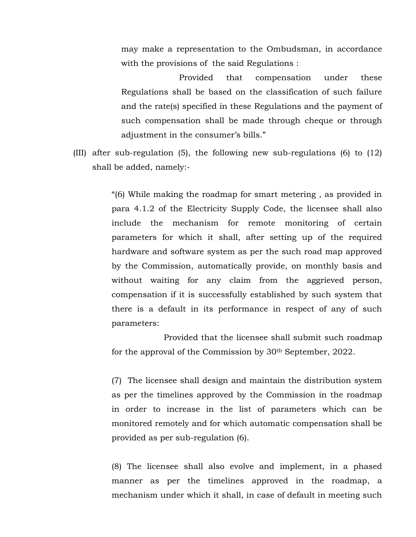may make a representation to the Ombudsman, in accordance with the provisions of the said Regulations :

 Provided that compensation under these Regulations shall be based on the classification of such failure and the rate(s) specified in these Regulations and the payment of such compensation shall be made through cheque or through adjustment in the consumer's bills."

(III) after sub-regulation (5), the following new sub-regulations (6) to (12) shall be added, namely:-

> "(6) While making the roadmap for smart metering , as provided in para 4.1.2 of the Electricity Supply Code, the licensee shall also include the mechanism for remote monitoring of certain parameters for which it shall, after setting up of the required hardware and software system as per the such road map approved by the Commission, automatically provide, on monthly basis and without waiting for any claim from the aggrieved person, compensation if it is successfully established by such system that there is a default in its performance in respect of any of such parameters:

> Provided that the licensee shall submit such roadmap for the approval of the Commission by 30th September, 2022.

> (7) The licensee shall design and maintain the distribution system as per the timelines approved by the Commission in the roadmap in order to increase in the list of parameters which can be monitored remotely and for which automatic compensation shall be provided as per sub-regulation (6).

> (8) The licensee shall also evolve and implement, in a phased manner as per the timelines approved in the roadmap, a mechanism under which it shall, in case of default in meeting such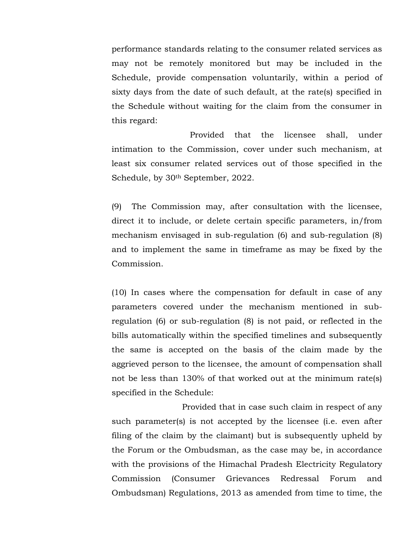performance standards relating to the consumer related services as may not be remotely monitored but may be included in the Schedule, provide compensation voluntarily, within a period of sixty days from the date of such default, at the rate(s) specified in the Schedule without waiting for the claim from the consumer in this regard:

 Provided that the licensee shall, under intimation to the Commission, cover under such mechanism, at least six consumer related services out of those specified in the Schedule, by 30th September, 2022.

(9) The Commission may, after consultation with the licensee, direct it to include, or delete certain specific parameters, in/from mechanism envisaged in sub-regulation (6) and sub-regulation (8) and to implement the same in timeframe as may be fixed by the Commission.

(10) In cases where the compensation for default in case of any parameters covered under the mechanism mentioned in subregulation (6) or sub-regulation (8) is not paid, or reflected in the bills automatically within the specified timelines and subsequently the same is accepted on the basis of the claim made by the aggrieved person to the licensee, the amount of compensation shall not be less than 130% of that worked out at the minimum rate(s) specified in the Schedule:

 Provided that in case such claim in respect of any such parameter(s) is not accepted by the licensee (i.e. even after filing of the claim by the claimant) but is subsequently upheld by the Forum or the Ombudsman, as the case may be, in accordance with the provisions of the Himachal Pradesh Electricity Regulatory Commission (Consumer Grievances Redressal Forum and Ombudsman) Regulations, 2013 as amended from time to time, the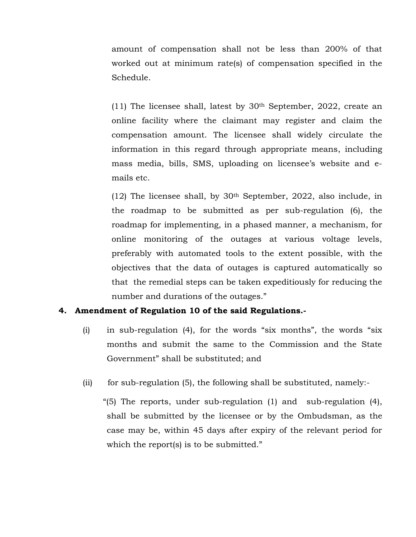amount of compensation shall not be less than 200% of that worked out at minimum rate(s) of compensation specified in the Schedule.

(11) The licensee shall, latest by  $30<sup>th</sup>$  September, 2022, create an online facility where the claimant may register and claim the compensation amount. The licensee shall widely circulate the information in this regard through appropriate means, including mass media, bills, SMS, uploading on licensee's website and emails etc.

(12) The licensee shall, by 30th September, 2022, also include, in the roadmap to be submitted as per sub-regulation (6), the roadmap for implementing, in a phased manner, a mechanism, for online monitoring of the outages at various voltage levels, preferably with automated tools to the extent possible, with the objectives that the data of outages is captured automatically so that the remedial steps can be taken expeditiously for reducing the number and durations of the outages."

### **4. Amendment of Regulation 10 of the said Regulations.-**

- (i) in sub-regulation (4), for the words "six months", the words "six months and submit the same to the Commission and the State Government" shall be substituted; and
- (ii) for sub-regulation (5), the following shall be substituted, namely:-

 "(5) The reports, under sub-regulation (1) and sub-regulation (4), shall be submitted by the licensee or by the Ombudsman, as the case may be, within 45 days after expiry of the relevant period for which the report(s) is to be submitted."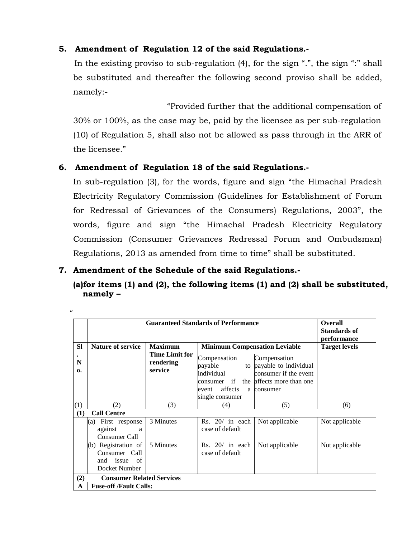## **5. Amendment of Regulation 12 of the said Regulations.-**

 In the existing proviso to sub-regulation (4), for the sign ".", the sign ":" shall be substituted and thereafter the following second proviso shall be added, namely:-

 "Provided further that the additional compensation of 30% or 100%, as the case may be, paid by the licensee as per sub-regulation (10) of Regulation 5, shall also not be allowed as pass through in the ARR of the licensee."

## **6. Amendment of Regulation 18 of the said Regulations.-**

In sub-regulation (3), for the words, figure and sign "the Himachal Pradesh Electricity Regulatory Commission (Guidelines for Establishment of Forum for Redressal of Grievances of the Consumers) Regulations, 2003", the words, figure and sign "the Himachal Pradesh Electricity Regulatory Commission (Consumer Grievances Redressal Forum and Ombudsman) Regulations, 2013 as amended from time to time" shall be substituted.

## **7. Amendment of the Schedule of the said Regulations.-**

 $\mathbf{u}$ 

# **(a)for items (1) and (2), the following items (1) and (2) shall be substituted, namely –**

|                   |                                                                       |                                               | <b>Guaranteed Standards of Performance</b>                                                                    |                                                                                                     | <b>Overall</b>       |  |  |
|-------------------|-----------------------------------------------------------------------|-----------------------------------------------|---------------------------------------------------------------------------------------------------------------|-----------------------------------------------------------------------------------------------------|----------------------|--|--|
|                   |                                                                       |                                               |                                                                                                               |                                                                                                     | Standards of         |  |  |
|                   |                                                                       |                                               |                                                                                                               |                                                                                                     | performance          |  |  |
| <b>Sl</b>         | <b>Nature of service</b>                                              | <b>Maximum</b>                                | <b>Minimum Compensation Leviable</b>                                                                          |                                                                                                     | <b>Target levels</b> |  |  |
| N<br>$\mathbf{0}$ |                                                                       | <b>Time Limit for</b><br>rendering<br>service | Compensation<br>payable<br>to<br>individual<br>consumer if<br>the<br>affects<br>event<br>a<br>single consumer | Compensation<br>payable to individual<br>consumer if the event<br>affects more than one<br>consumer |                      |  |  |
| (1)               | (2)                                                                   | (3)                                           | (4)                                                                                                           | (5)                                                                                                 | (6)                  |  |  |
| (1)               | <b>Call Centre</b>                                                    |                                               |                                                                                                               |                                                                                                     |                      |  |  |
|                   | First response<br>(a)<br>against<br>a<br>Consumer Call                | 3 Minutes                                     | $Rs. 20/$ in each<br>case of default                                                                          | Not applicable                                                                                      | Not applicable       |  |  |
|                   | (b) Registration of<br>Consumer Call<br>and issue of<br>Docket Number | 5 Minutes                                     | $Rs. 20/$ in each<br>case of default                                                                          | Not applicable                                                                                      | Not applicable       |  |  |
| (2)               | <b>Consumer Related Services</b>                                      |                                               |                                                                                                               |                                                                                                     |                      |  |  |
| A                 | <b>Fuse-off /Fault Calls:</b>                                         |                                               |                                                                                                               |                                                                                                     |                      |  |  |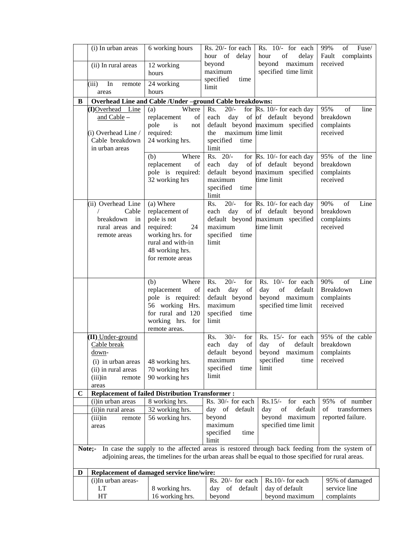|             | (i) In urban areas                | 6 working hours                                          | Rs. 20/- for each          | Rs. 10/- for each                                                                                     | 99%<br>of<br>Fuse/              |
|-------------|-----------------------------------|----------------------------------------------------------|----------------------------|-------------------------------------------------------------------------------------------------------|---------------------------------|
|             |                                   | 12 working                                               | hour of delay<br>beyond    | of<br>hour<br>delay<br>beyond maximum                                                                 | Fault<br>complaints<br>received |
|             | (ii) In rural areas               | hours                                                    | maximum                    | specified time limit                                                                                  |                                 |
|             |                                   |                                                          | specified<br>time          |                                                                                                       |                                 |
|             | (iii)<br>In<br>remote<br>areas    | 24 working<br>hours                                      | limit                      |                                                                                                       |                                 |
| В           |                                   | Overhead Line and Cable /Under -ground Cable breakdowns: |                            |                                                                                                       |                                 |
|             | (I)Overhead<br>Line               | Where<br>(a)                                             | $20/-$<br>Rs.              | for $\mathbb{R}s$ . 10/- for each day                                                                 | 95%<br>of<br>line               |
|             | and Cable $-$                     | replacement<br>of                                        | each<br>day                | of of default beyond                                                                                  | breakdown                       |
|             |                                   | pole<br>is<br>not                                        |                            | default beyond maximum specified                                                                      | complaints                      |
|             | (i) Overhead Line /               | required:                                                | maximum time limit<br>the  |                                                                                                       | received                        |
|             | Cable breakdown<br>in urban areas | 24 working hrs.                                          | specified<br>time<br>limit |                                                                                                       |                                 |
|             |                                   | Where<br>(b)                                             | $Rs. 20/-$                 | for $\mathbb{R}s$ . 10/- for each day                                                                 | 95% of the line                 |
|             |                                   | replacement<br>of                                        |                            | each day of of default beyond                                                                         | breakdown                       |
|             |                                   | pole is required:                                        |                            | default beyond maximum specified                                                                      | complaints                      |
|             |                                   | 32 working hrs                                           | maximum                    | time limit                                                                                            | received                        |
|             |                                   |                                                          | specified<br>time<br>limit |                                                                                                       |                                 |
|             | (ii) Overhead Line                | (a) Where                                                | $20/-$<br>Rs.              | for $\mathbb{R}s$ . 10/- for each day                                                                 | 90%<br>of<br>Line               |
|             | Cable                             | replacement of                                           | day<br>each                | of of default beyond                                                                                  | breakdown                       |
|             | breakdown<br>in                   | pole is not                                              |                            | default beyond maximum specified                                                                      | complaints                      |
|             | rural areas and                   | required:<br>24                                          | maximum                    | time limit                                                                                            | received                        |
|             | remote areas                      | working hrs. for<br>rural and with-in                    | specified<br>time<br>limit |                                                                                                       |                                 |
|             |                                   | 48 working hrs.                                          |                            |                                                                                                       |                                 |
|             |                                   | for remote areas                                         |                            |                                                                                                       |                                 |
|             |                                   |                                                          |                            |                                                                                                       |                                 |
|             |                                   | (b)<br>Where                                             | Rs.<br>$20/-$<br>for       | Rs. 10/- for each                                                                                     | 90%<br>of<br>Line               |
|             |                                   | replacement<br>of                                        | day<br>each<br>of          | default<br>day<br>of                                                                                  | Breakdown                       |
|             |                                   | pole is required:                                        | default beyond             | beyond maximum                                                                                        | complaints                      |
|             |                                   | 56 working Hrs.                                          | maximum                    | specified time limit                                                                                  | received                        |
|             |                                   | for rural and 120                                        | specified<br>time          |                                                                                                       |                                 |
|             |                                   | working hrs. for<br>remote areas.                        | limit                      |                                                                                                       |                                 |
|             | (II) Under-ground                 |                                                          | $30/-$<br>Rs.<br>for       | Rs. 15/- for each                                                                                     | 95% of the cable                |
|             | Cable break                       |                                                          | of<br>day<br>each          | of<br>day<br>default                                                                                  | breakdown                       |
|             | down-                             |                                                          | default beyond             | beyond maximum                                                                                        | complaints                      |
|             | (i) in urban areas                | 48 working hrs.                                          | maximum                    | specified<br>time                                                                                     | received                        |
|             | (ii) in rural areas               | 70 working hrs                                           | specified<br>time<br>limit | limit                                                                                                 |                                 |
|             | $(iii)$ in<br>remote<br>areas     | 90 working hrs                                           |                            |                                                                                                       |                                 |
| $\mathbf C$ |                                   | <b>Replacement of failed Distribution Transformer:</b>   |                            |                                                                                                       |                                 |
|             | (i)in urban areas                 | 8 working hrs.                                           | Rs. 30/- for each          | $Rs.15/-$<br>for each                                                                                 | of number<br>95%                |
|             | (ii) in rural areas               | 32 working hrs.                                          | day of default             | of<br>default<br>day                                                                                  | transformers<br>of              |
|             | $(iii)$ in<br>remote              | 56 working hrs.                                          | beyond<br>maximum          | beyond maximum<br>specified time limit                                                                | reported failure.               |
|             | areas                             |                                                          | specified<br>time          |                                                                                                       |                                 |
|             |                                   |                                                          | limit                      |                                                                                                       |                                 |
|             | Note;-                            |                                                          |                            | In case the supply to the affected areas is restored through back feeding from the system of          |                                 |
|             |                                   |                                                          |                            | adjoining areas, the timelines for the urban areas shall be equal to those specified for rural areas. |                                 |
| D           |                                   | Replacement of damaged service line/wire:                |                            |                                                                                                       |                                 |
|             | (i)In urban areas-                |                                                          | Rs. 20/- for each          | Rs.10/- for each                                                                                      | 95% of damaged                  |
|             | LT                                | 8 working hrs.                                           | day of default             | day of default                                                                                        | service line                    |
|             | HT                                | 16 working hrs.                                          | beyond                     | beyond maximum                                                                                        | complaints                      |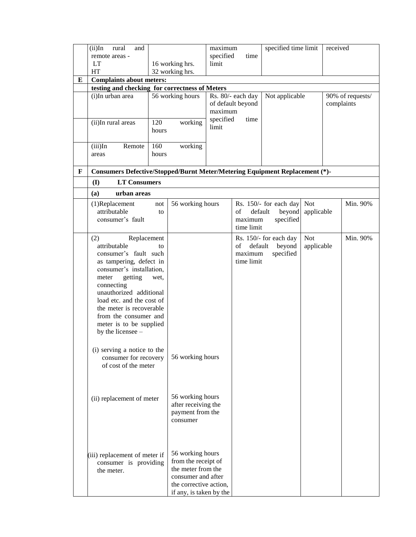|   | $(ii)$ In<br>rural<br>and                                                   |       |                                              | maximum   |                   | specified time limit   |            | received   |                  |
|---|-----------------------------------------------------------------------------|-------|----------------------------------------------|-----------|-------------------|------------------------|------------|------------|------------------|
|   | remote areas -                                                              |       |                                              | specified | time              |                        |            |            |                  |
|   | <b>LT</b>                                                                   |       | 16 working hrs.                              | limit     |                   |                        |            |            |                  |
|   | HT                                                                          |       | 32 working hrs.                              |           |                   |                        |            |            |                  |
| E | <b>Complaints about meters:</b>                                             |       |                                              |           |                   |                        |            |            |                  |
|   | testing and checking for correctness of Meters                              |       |                                              |           |                   |                        |            |            |                  |
|   | (i)In urban area                                                            |       | 56 working hours                             |           | Rs. 80/- each day | Not applicable         |            |            | 90% of requests/ |
|   |                                                                             |       |                                              |           | of default beyond |                        |            | complaints |                  |
|   |                                                                             |       |                                              | maximum   |                   |                        |            |            |                  |
|   | (ii)In rural areas                                                          | 120   | working                                      | specified | time              |                        |            |            |                  |
|   |                                                                             | hours |                                              | limit     |                   |                        |            |            |                  |
|   |                                                                             |       |                                              |           |                   |                        |            |            |                  |
|   | $(iii)$ In<br>Remote                                                        | 160   | working                                      |           |                   |                        |            |            |                  |
|   | areas                                                                       | hours |                                              |           |                   |                        |            |            |                  |
|   |                                                                             |       |                                              |           |                   |                        |            |            |                  |
| F | Consumers Defective/Stopped/Burnt Meter/Metering Equipment Replacement (*)- |       |                                              |           |                   |                        |            |            |                  |
|   | <b>LT Consumers</b><br>(I)                                                  |       |                                              |           |                   |                        |            |            |                  |
|   | (a)<br>urban areas                                                          |       |                                              |           |                   |                        |            |            |                  |
|   | (1)Replacement                                                              | not   | 56 working hours                             |           |                   | Rs. 150/- for each day | <b>Not</b> |            | Min. 90%         |
|   | attributable                                                                | to    |                                              |           | default<br>of     | beyond                 | applicable |            |                  |
|   | consumer's fault                                                            |       |                                              |           | maximum           | specified              |            |            |                  |
|   |                                                                             |       |                                              |           | time limit        |                        |            |            |                  |
|   | (2)<br>Replacement                                                          |       |                                              |           |                   | Rs. 150/- for each day | <b>Not</b> |            | Min. 90%         |
|   | attributable                                                                | to    |                                              |           | of                | default<br>beyond      | applicable |            |                  |
|   | consumer's fault such                                                       |       |                                              |           | maximum           | specified              |            |            |                  |
|   | as tampering, defect in                                                     |       |                                              |           | time limit        |                        |            |            |                  |
|   | consumer's installation,                                                    |       |                                              |           |                   |                        |            |            |                  |
|   | getting<br>meter                                                            | wet,  |                                              |           |                   |                        |            |            |                  |
|   | connecting<br>unauthorized additional                                       |       |                                              |           |                   |                        |            |            |                  |
|   | load etc. and the cost of                                                   |       |                                              |           |                   |                        |            |            |                  |
|   | the meter is recoverable                                                    |       |                                              |           |                   |                        |            |            |                  |
|   | from the consumer and                                                       |       |                                              |           |                   |                        |            |            |                  |
|   | meter is to be supplied                                                     |       |                                              |           |                   |                        |            |            |                  |
|   | by the licensee -                                                           |       |                                              |           |                   |                        |            |            |                  |
|   |                                                                             |       |                                              |           |                   |                        |            |            |                  |
|   | (i) serving a notice to the                                                 |       |                                              |           |                   |                        |            |            |                  |
|   | consumer for recovery                                                       |       | 56 working hours                             |           |                   |                        |            |            |                  |
|   | of cost of the meter                                                        |       |                                              |           |                   |                        |            |            |                  |
|   |                                                                             |       |                                              |           |                   |                        |            |            |                  |
|   |                                                                             |       |                                              |           |                   |                        |            |            |                  |
|   |                                                                             |       | 56 working hours                             |           |                   |                        |            |            |                  |
|   | (ii) replacement of meter                                                   |       | after receiving the                          |           |                   |                        |            |            |                  |
|   |                                                                             |       | payment from the                             |           |                   |                        |            |            |                  |
|   |                                                                             |       | consumer                                     |           |                   |                        |            |            |                  |
|   |                                                                             |       |                                              |           |                   |                        |            |            |                  |
|   |                                                                             |       |                                              |           |                   |                        |            |            |                  |
|   |                                                                             |       |                                              |           |                   |                        |            |            |                  |
|   | (iii) replacement of meter if                                               |       | 56 working hours                             |           |                   |                        |            |            |                  |
|   | consumer is providing                                                       |       | from the receipt of                          |           |                   |                        |            |            |                  |
|   | the meter.                                                                  |       | the meter from the                           |           |                   |                        |            |            |                  |
|   |                                                                             |       | consumer and after<br>the corrective action, |           |                   |                        |            |            |                  |
|   |                                                                             |       | if any, is taken by the                      |           |                   |                        |            |            |                  |
|   |                                                                             |       |                                              |           |                   |                        |            |            |                  |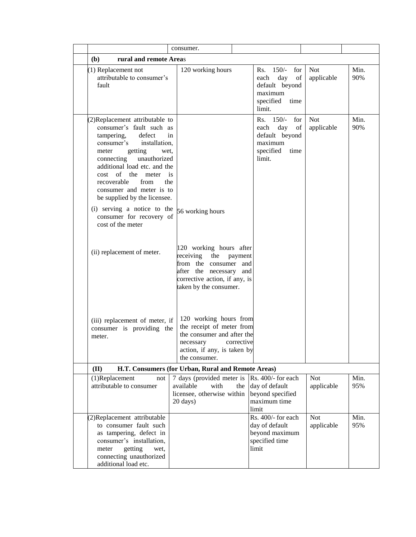|                                                                                                                                                                                                                                                                                                                                                                                                                           | consumer.                                                                                                                                                             |                                                                                                     |                          |             |
|---------------------------------------------------------------------------------------------------------------------------------------------------------------------------------------------------------------------------------------------------------------------------------------------------------------------------------------------------------------------------------------------------------------------------|-----------------------------------------------------------------------------------------------------------------------------------------------------------------------|-----------------------------------------------------------------------------------------------------|--------------------------|-------------|
| rural and remote Areas<br>( <b>b</b> )                                                                                                                                                                                                                                                                                                                                                                                    |                                                                                                                                                                       |                                                                                                     |                          |             |
| (1) Replacement not<br>attributable to consumer's<br>fault                                                                                                                                                                                                                                                                                                                                                                | 120 working hours                                                                                                                                                     | Rs. 150/- for<br>day<br>each<br>of<br>default beyond<br>maximum<br>specified<br>time<br>limit.      | <b>Not</b><br>applicable | Min.<br>90% |
| (2)Replacement attributable to<br>consumer's fault such as<br>tampering,<br>defect<br>in<br>consumer's<br>installation,<br>getting<br>meter<br>wet,<br>connecting unauthorized<br>additional load etc. and the<br>of the<br>meter<br>is<br>cost<br>recoverable<br>from<br>the<br>consumer and meter is to<br>be supplied by the licensee.<br>(i) serving a notice to the<br>consumer for recovery of<br>cost of the meter | 56 working hours                                                                                                                                                      | $Rs. 150/-$<br>for<br>day<br>each<br>of<br>default beyond<br>maximum<br>specified<br>time<br>limit. | <b>Not</b><br>applicable | Min.<br>90% |
| (ii) replacement of meter.                                                                                                                                                                                                                                                                                                                                                                                                | 120 working hours after<br>receiving<br>the<br>payment<br>from the consumer and<br>after the necessary and<br>corrective action, if any, is<br>taken by the consumer. |                                                                                                     |                          |             |
| (iii) replacement of meter, if<br>consumer is providing the<br>meter.                                                                                                                                                                                                                                                                                                                                                     | 120 working hours from<br>the receipt of meter from<br>the consumer and after the<br>necessary<br>corrective<br>action, if any, is taken by<br>the consumer.          |                                                                                                     |                          |             |
| (II)                                                                                                                                                                                                                                                                                                                                                                                                                      | H.T. Consumers (for Urban, Rural and Remote Areas)                                                                                                                    |                                                                                                     |                          |             |
| (1)Replacement<br>not<br>attributable to consumer                                                                                                                                                                                                                                                                                                                                                                         | 7 days (provided meter is<br>available<br>with<br>licensee, otherwise within<br>20 days)                                                                              | Rs. 400/- for each<br>the day of default<br>beyond specified<br>maximum time<br>limit               | <b>Not</b><br>applicable | Min.<br>95% |
| (2)Replacement attributable<br>to consumer fault such<br>as tampering, defect in<br>consumer's installation,<br>getting<br>wet,<br>meter<br>connecting unauthorized<br>additional load etc.                                                                                                                                                                                                                               |                                                                                                                                                                       | Rs. 400/- for each<br>day of default<br>beyond maximum<br>specified time<br>limit                   | <b>Not</b><br>applicable | Min.<br>95% |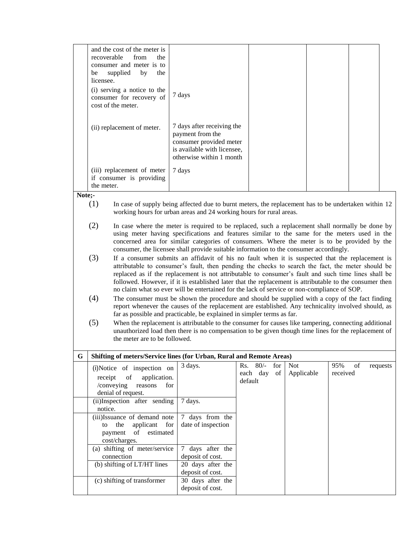|        | and the cost of the meter is<br>recoverable<br>from<br>the<br>consumer and meter is to<br>supplied<br>by<br>be<br>the<br>licensee.<br>(i) serving a notice to the<br>consumer for recovery of<br>cost of the meter.                                                                                                                                                                                                                                                                                                          | 7 days                                                                                                                                                                                                                                                                           |                                                   |                          |                       |          |
|--------|------------------------------------------------------------------------------------------------------------------------------------------------------------------------------------------------------------------------------------------------------------------------------------------------------------------------------------------------------------------------------------------------------------------------------------------------------------------------------------------------------------------------------|----------------------------------------------------------------------------------------------------------------------------------------------------------------------------------------------------------------------------------------------------------------------------------|---------------------------------------------------|--------------------------|-----------------------|----------|
|        | (ii) replacement of meter.                                                                                                                                                                                                                                                                                                                                                                                                                                                                                                   | 7 days after receiving the<br>payment from the<br>consumer provided meter<br>is available with licensee,<br>otherwise within 1 month                                                                                                                                             |                                                   |                          |                       |          |
|        | (iii) replacement of meter<br>if consumer is providing                                                                                                                                                                                                                                                                                                                                                                                                                                                                       | 7 days                                                                                                                                                                                                                                                                           |                                                   |                          |                       |          |
|        | the meter.                                                                                                                                                                                                                                                                                                                                                                                                                                                                                                                   |                                                                                                                                                                                                                                                                                  |                                                   |                          |                       |          |
| Note;- |                                                                                                                                                                                                                                                                                                                                                                                                                                                                                                                              |                                                                                                                                                                                                                                                                                  |                                                   |                          |                       |          |
|        | (1)<br>In case of supply being affected due to burnt meters, the replacement has to be undertaken within 12<br>working hours for urban areas and 24 working hours for rural areas.                                                                                                                                                                                                                                                                                                                                           |                                                                                                                                                                                                                                                                                  |                                                   |                          |                       |          |
|        | (2)<br>In case where the meter is required to be replaced, such a replacement shall normally be done by<br>using meter having specifications and features similar to the same for the meters used in the<br>concerned area for similar categories of consumers. Where the meter is to be provided by the<br>consumer, the licensee shall provide suitable information to the consumer accordingly.                                                                                                                           |                                                                                                                                                                                                                                                                                  |                                                   |                          |                       |          |
|        | (3)<br>If a consumer submits an affidavit of his no fault when it is suspected that the replacement is<br>attributable to consumer's fault, then pending the checks to search the fact, the meter should be<br>replaced as if the replacement is not attributable to consumer's fault and such time lines shall be<br>followed. However, if it is established later that the replacement is attributable to the consumer then<br>no claim what so ever will be entertained for the lack of service or non-compliance of SOP. |                                                                                                                                                                                                                                                                                  |                                                   |                          |                       |          |
|        | (4)                                                                                                                                                                                                                                                                                                                                                                                                                                                                                                                          | The consumer must be shown the procedure and should be supplied with a copy of the fact finding<br>report whenever the causes of the replacement are established. Any technicality involved should, as<br>far as possible and practicable, be explained in simpler terms as far. |                                                   |                          |                       |          |
|        | (5)<br>the meter are to be followed.                                                                                                                                                                                                                                                                                                                                                                                                                                                                                         | When the replacement is attributable to the consumer for causes like tampering, connecting additional<br>unauthorized load then there is no compensation to be given though time lines for the replacement of                                                                    |                                                   |                          |                       |          |
| G      | Shifting of meters/Service lines (for Urban, Rural and Remote Areas)                                                                                                                                                                                                                                                                                                                                                                                                                                                         |                                                                                                                                                                                                                                                                                  |                                                   |                          |                       |          |
|        | (i)Notice of inspection on<br>$% \left( \left( \mathcal{A},\mathcal{A}\right) \right) =\left( \mathcal{A},\mathcal{A}\right)$ of<br>receipt<br>application.<br>/conveying<br>reasons                                                                                                                                                                                                                                                                                                                                         | 3 days.<br>for                                                                                                                                                                                                                                                                   | $80/-$<br>Rs.<br>for<br>each day<br>of<br>default | <b>Not</b><br>Applicable | 95%<br>of<br>received | requests |
|        | denial of request.<br>(ii)Inspection after sending                                                                                                                                                                                                                                                                                                                                                                                                                                                                           | 7 days.                                                                                                                                                                                                                                                                          |                                                   |                          |                       |          |
|        | notice.                                                                                                                                                                                                                                                                                                                                                                                                                                                                                                                      |                                                                                                                                                                                                                                                                                  |                                                   |                          |                       |          |
|        | (iii) Issuance of demand note                                                                                                                                                                                                                                                                                                                                                                                                                                                                                                | 7 days from the                                                                                                                                                                                                                                                                  |                                                   |                          |                       |          |

date of inspection

7 days after the deposit of cost.

deposit of cost.<br>30 days after the

deposit of cost.

 (iii)Issuance of demand note to the applicant for payment of estimated

(a) shifting of meter/service

(c) shifting of transformer

(b) shifting of  $LT/HT$  lines 20 days after the

cost/charges.

connection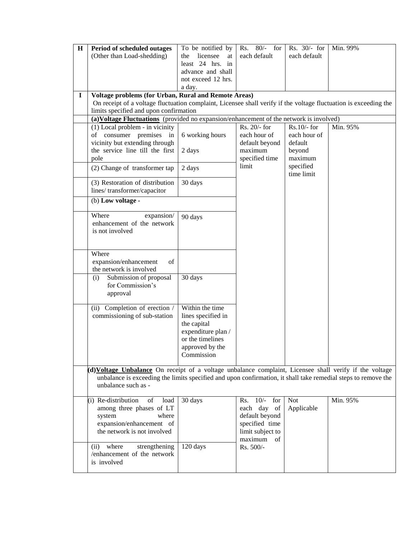| $\bf H$  | Period of scheduled outages                                                                                                                                              | To be notified by     | $80/-$ for<br>Rs.                       | Rs. 30/- for            | Min. 99% |
|----------|--------------------------------------------------------------------------------------------------------------------------------------------------------------------------|-----------------------|-----------------------------------------|-------------------------|----------|
|          | (Other than Load-shedding)                                                                                                                                               | licensee<br>the<br>at | each default                            | each default            |          |
|          |                                                                                                                                                                          | least 24 hrs. in      |                                         |                         |          |
|          |                                                                                                                                                                          | advance and shall     |                                         |                         |          |
|          |                                                                                                                                                                          | not exceed 12 hrs.    |                                         |                         |          |
| $\bf{I}$ |                                                                                                                                                                          | a day.                |                                         |                         |          |
|          | Voltage problems (for Urban, Rural and Remote Areas)<br>On receipt of a voltage fluctuation complaint, Licensee shall verify if the voltage fluctuation is exceeding the |                       |                                         |                         |          |
|          | limits specified and upon confirmation                                                                                                                                   |                       |                                         |                         |          |
|          | (a) Voltage Fluctuations (provided no expansion/enhancement of the network is involved)                                                                                  |                       |                                         |                         |          |
|          | (1) Local problem - in vicinity                                                                                                                                          |                       | Rs. 20/- for                            | $Rs.10/-$ for           | Min. 95% |
|          | of consumer premises in                                                                                                                                                  | 6 working hours       | each hour of                            | each hour of            |          |
|          | vicinity but extending through                                                                                                                                           |                       | default beyond                          | default                 |          |
|          | the service line till the first                                                                                                                                          | 2 days                | maximum                                 | beyond                  |          |
|          | pole                                                                                                                                                                     |                       | specified time                          | maximum                 |          |
|          | (2) Change of transformer tap                                                                                                                                            | 2 days                | limit                                   | specified<br>time limit |          |
|          | (3) Restoration of distribution<br>lines/transformer/capacitor                                                                                                           | 30 days               |                                         |                         |          |
|          |                                                                                                                                                                          |                       |                                         |                         |          |
|          | (b) Low voltage -                                                                                                                                                        |                       |                                         |                         |          |
|          | Where<br>expansion/                                                                                                                                                      | 90 days               |                                         |                         |          |
|          | enhancement of the network                                                                                                                                               |                       |                                         |                         |          |
|          | is not involved                                                                                                                                                          |                       |                                         |                         |          |
|          |                                                                                                                                                                          |                       |                                         |                         |          |
|          | Where                                                                                                                                                                    |                       |                                         |                         |          |
|          | expansion/enhancement<br>of                                                                                                                                              |                       |                                         |                         |          |
|          | the network is involved                                                                                                                                                  |                       |                                         |                         |          |
|          | Submission of proposal<br>(i)                                                                                                                                            | 30 days               |                                         |                         |          |
|          | for Commission's                                                                                                                                                         |                       |                                         |                         |          |
|          | approval                                                                                                                                                                 |                       |                                         |                         |          |
|          | (ii) Completion of erection /                                                                                                                                            | Within the time       |                                         |                         |          |
|          | commissioning of sub-station                                                                                                                                             | lines specified in    |                                         |                         |          |
|          |                                                                                                                                                                          | the capital           |                                         |                         |          |
|          |                                                                                                                                                                          | expenditure plan /    |                                         |                         |          |
|          |                                                                                                                                                                          | or the timelines      |                                         |                         |          |
|          |                                                                                                                                                                          | approved by the       |                                         |                         |          |
|          |                                                                                                                                                                          | Commission            |                                         |                         |          |
|          |                                                                                                                                                                          |                       |                                         |                         |          |
|          | (d) Voltage Unbalance On receipt of a voltage unbalance complaint, Licensee shall verify if the voltage                                                                  |                       |                                         |                         |          |
|          | unbalance is exceeding the limits specified and upon confirmation, it shall take remedial steps to remove the<br>unbalance such as -                                     |                       |                                         |                         |          |
|          |                                                                                                                                                                          |                       |                                         |                         |          |
|          | (i) Re-distribution<br>of<br>load                                                                                                                                        | 30 days               | $\overline{10}/\overline{ }$ for<br>Rs. | <b>Not</b>              | Min. 95% |
|          | among three phases of LT                                                                                                                                                 |                       | each day of                             | Applicable              |          |
|          | system<br>where                                                                                                                                                          |                       | default beyond                          |                         |          |
|          | expansion/enhancement of<br>the network is not involved                                                                                                                  |                       | specified time                          |                         |          |
|          |                                                                                                                                                                          |                       | limit subject to<br>maximum of          |                         |          |
|          | where<br>strengthening<br>(ii)                                                                                                                                           | 120 days              | Rs. 500/-                               |                         |          |
|          | /enhancement of the network                                                                                                                                              |                       |                                         |                         |          |
|          | is involved                                                                                                                                                              |                       |                                         |                         |          |
|          |                                                                                                                                                                          |                       |                                         |                         |          |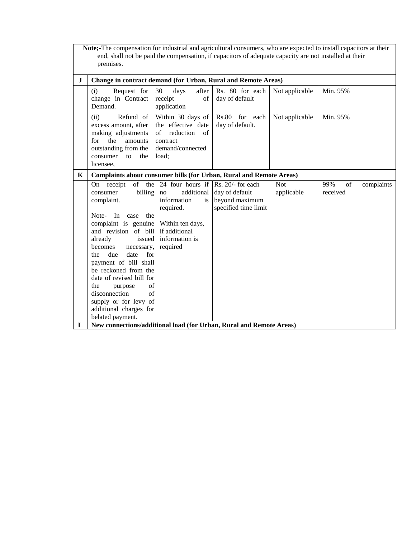|          | Note;-The compensation for industrial and agricultural consumers, who are expected to install capacitors at their<br>end, shall not be paid the compensation, if capacitors of adequate capacity are not installed at their<br>premises.                                                                                                                                                                                                                                                                  |                                                                                                                                                                     |                                                          |                          |                       |            |  |
|----------|-----------------------------------------------------------------------------------------------------------------------------------------------------------------------------------------------------------------------------------------------------------------------------------------------------------------------------------------------------------------------------------------------------------------------------------------------------------------------------------------------------------|---------------------------------------------------------------------------------------------------------------------------------------------------------------------|----------------------------------------------------------|--------------------------|-----------------------|------------|--|
| $\bf{J}$ | Change in contract demand (for Urban, Rural and Remote Areas)                                                                                                                                                                                                                                                                                                                                                                                                                                             |                                                                                                                                                                     |                                                          |                          |                       |            |  |
|          | Request for<br>(i)<br>change in Contract<br>Demand.                                                                                                                                                                                                                                                                                                                                                                                                                                                       | 30<br>days<br>after<br>receipt<br>of<br>application                                                                                                                 | Rs. 80 for each<br>day of default                        | Not applicable           | Min. 95%              |            |  |
|          | Refund of<br>(ii)<br>excess amount, after<br>making adjustments<br>for<br>the<br>amounts<br>outstanding from the<br>consumer<br>the<br>to<br>licensee,                                                                                                                                                                                                                                                                                                                                                    | Within 30 days of<br>the effective date<br>reduction<br>$\alpha$ f<br>of<br>contract<br>demand/connected<br>load:                                                   | Rs.80 for each<br>day of default.                        | Not applicable           | Min. 95%              |            |  |
| K        | Complaints about consumer bills (for Urban, Rural and Remote Areas)                                                                                                                                                                                                                                                                                                                                                                                                                                       |                                                                                                                                                                     |                                                          |                          |                       |            |  |
| L        | of<br>the<br>receipt<br><b>On</b><br>consumer<br>billing<br>complaint.<br>the<br>Note-<br>In<br>case<br>complaint is genuine<br>and revision of bill<br>already<br>issued<br>becomes<br>necessary,<br>date<br>for<br>due<br>the<br>payment of bill shall<br>be reckoned from the<br>date of revised bill for<br>of<br>the<br>purpose<br>disconnection<br>of<br>supply or for levy of<br>additional charges for<br>belated payment.<br>New connections/additional load (for Urban, Rural and Remote Areas) | 24 four hours if $\vert$ Rs. 20/- for each<br>additional<br>no<br>information<br>is<br>required.<br>Within ten days,<br>if additional<br>information is<br>required | day of default<br>beyond maximum<br>specified time limit | <b>Not</b><br>applicable | of<br>99%<br>received | complaints |  |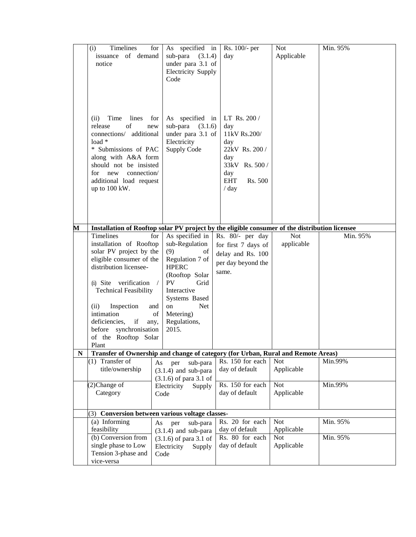|   | Timelines<br>(i)<br>issuance of demand<br>notice                                                                                                                                                                                                                                                          | for<br>As specified in<br>sub-para<br>(3.1.4)<br>under para 3.1 of<br><b>Electricity Supply</b><br>Code                                                                                                                         | Rs. 100/- per<br>day                                                                                                             | <b>Not</b><br>Applicable | Min. 95% |
|---|-----------------------------------------------------------------------------------------------------------------------------------------------------------------------------------------------------------------------------------------------------------------------------------------------------------|---------------------------------------------------------------------------------------------------------------------------------------------------------------------------------------------------------------------------------|----------------------------------------------------------------------------------------------------------------------------------|--------------------------|----------|
|   | Time<br>lines<br>(ii)<br>of<br>release<br>new<br>connections/ additional<br>load *<br>* Submissions of PAC<br>along with A&A form<br>should not be insisted<br>for<br>connection/<br>new<br>additional load request<br>up to 100 kW.                                                                      | As specified in<br>for<br>sub-para<br>(3.1.6)<br>under para 3.1 of<br>Electricity<br><b>Supply Code</b>                                                                                                                         | LT Rs. 200 /<br>day<br>11kV Rs.200/<br>day<br>22kV Rs. 200 /<br>day<br>33kV Rs. 500 /<br>day<br><b>EHT</b><br>Rs. 500<br>$/$ day |                          |          |
| M | Installation of Rooftop solar PV project by the eligible consumer of the distribution licensee                                                                                                                                                                                                            |                                                                                                                                                                                                                                 |                                                                                                                                  |                          |          |
|   | Timelines<br>installation of Rooftop<br>solar PV project by the<br>eligible consumer of the<br>distribution licensee-<br>(i) Site verification<br><b>Technical Feasibility</b><br>Inspection<br>(ii)<br>intimation<br>deficiencies, if<br>any,<br>before synchronisation<br>of the Rooftop Solar<br>Plant | As specified in<br>for<br>sub-Regulation<br>(9)<br>of<br>Regulation 7 of<br><b>HPERC</b><br>(Rooftop Solar<br><b>PV</b><br>Grid<br>Interactive<br>Systems Based<br>Net<br>on<br>and<br>Metering)<br>of<br>Regulations,<br>2015. | Rs. 80/- per day<br>for first 7 days of<br>delay and Rs. 100<br>per day beyond the<br>same.                                      | <b>Not</b><br>applicable | Min. 95% |
| N | Transfer of Ownership and change of category (for Urban, Rural and Remote Areas)                                                                                                                                                                                                                          |                                                                                                                                                                                                                                 |                                                                                                                                  |                          |          |
|   | $(1)$ Transfer of<br>title/ownership                                                                                                                                                                                                                                                                      | As<br>sub-para<br>per<br>$(3.1.4)$ and sub-para<br>$(3.1.6)$ of para 3.1 of                                                                                                                                                     | Rs. 150 for each<br>day of default                                                                                               | <b>Not</b><br>Applicable | Min.99%  |
|   | (2)Change of<br>Category                                                                                                                                                                                                                                                                                  | Electricity<br>Supply<br>Code                                                                                                                                                                                                   | Rs. 150 for each<br>day of default                                                                                               | Not<br>Applicable        | Min.99%  |
|   | (3)                                                                                                                                                                                                                                                                                                       | Conversion between various voltage classes-                                                                                                                                                                                     |                                                                                                                                  |                          |          |
|   | (a) Informing<br>feasibility                                                                                                                                                                                                                                                                              | As<br>per<br>sub-para<br>$(3.1.4)$ and sub-para                                                                                                                                                                                 | Rs. 20 for each<br>day of default                                                                                                | Not<br>Applicable        | Min. 95% |
|   | (b) Conversion from<br>single phase to Low<br>Tension 3-phase and<br>vice-versa                                                                                                                                                                                                                           | $(3.1.6)$ of para 3.1 of<br>Electricity<br>Supply<br>Code                                                                                                                                                                       | Rs. 80 for each<br>day of default                                                                                                | <b>Not</b><br>Applicable | Min. 95% |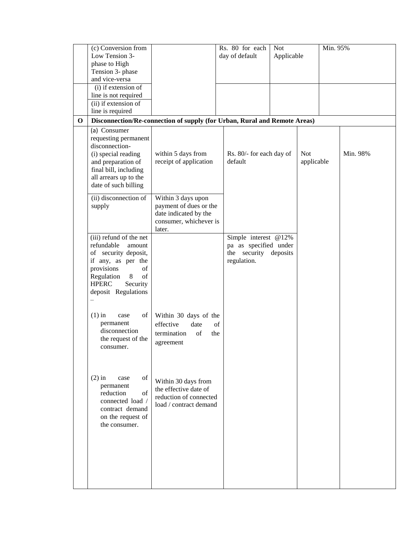|             | (c) Conversion from<br>Low Tension 3-<br>phase to High<br>Tension 3- phase<br>and vice-versa                                                                                                        |                                                                                                           | Rs. 80 for each<br>day of default                                                     | <b>Not</b><br>Applicable |                          | Min. 95% |          |
|-------------|-----------------------------------------------------------------------------------------------------------------------------------------------------------------------------------------------------|-----------------------------------------------------------------------------------------------------------|---------------------------------------------------------------------------------------|--------------------------|--------------------------|----------|----------|
|             | (i) if extension of<br>line is not required<br>(ii) if extension of<br>line is required                                                                                                             |                                                                                                           |                                                                                       |                          |                          |          |          |
| $\mathbf 0$ |                                                                                                                                                                                                     | Disconnection/Re-connection of supply (for Urban, Rural and Remote Areas)                                 |                                                                                       |                          |                          |          |          |
|             | (a) Consumer<br>requesting permanent<br>disconnection-<br>(i) special reading<br>and preparation of<br>final bill, including<br>all arrears up to the<br>date of such billing                       | within 5 days from<br>receipt of application                                                              | Rs. 80/- for each day of<br>default                                                   |                          | <b>Not</b><br>applicable |          | Min. 98% |
|             | (ii) disconnection of<br>supply                                                                                                                                                                     | Within 3 days upon<br>payment of dues or the<br>date indicated by the<br>consumer, whichever is<br>later. |                                                                                       |                          |                          |          |          |
|             | (iii) refund of the net<br>refundable<br>amount<br>of security deposit,<br>if any, as per the<br>of<br>provisions<br>$\,8\,$<br>of<br>Regulation<br>Security<br><b>HPERC</b><br>deposit Regulations |                                                                                                           | Simple interest @12%<br>pa as specified under<br>the security deposits<br>regulation. |                          |                          |          |          |
|             | of<br>$(1)$ in<br>case<br>permanent<br>disconnection<br>the request of the<br>consumer.                                                                                                             | Within 30 days of the<br>effective<br>date<br>of<br>termination<br>the<br>agreement                       | of                                                                                    |                          |                          |          |          |
|             | $(2)$ in<br>of<br>case<br>permanent<br>of<br>reduction<br>connected load /<br>contract demand<br>on the request of<br>the consumer.                                                                 | Within 30 days from<br>the effective date of<br>reduction of connected<br>load / contract demand          |                                                                                       |                          |                          |          |          |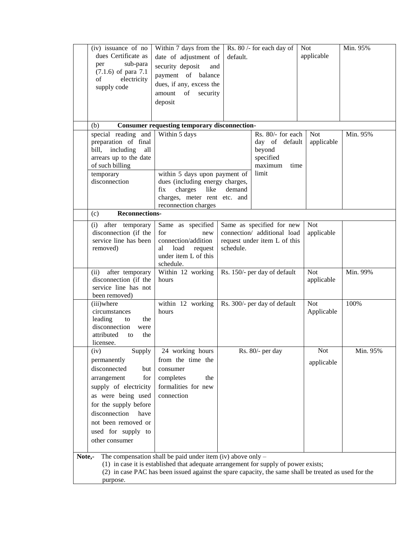|        | (iv) issuance of no                                 | Within 7 days from the                                                                                |           | Rs. 80 /- for each day of    | <b>Not</b> | Min. 95% |
|--------|-----------------------------------------------------|-------------------------------------------------------------------------------------------------------|-----------|------------------------------|------------|----------|
|        | dues Certificate as                                 | date of adjustment of                                                                                 | default.  |                              | applicable |          |
|        | sub-para<br>per                                     | security deposit<br>and                                                                               |           |                              |            |          |
|        | $(7.1.6)$ of para $7.1$                             | payment of balance                                                                                    |           |                              |            |          |
|        | electricity<br>of                                   | dues, if any, excess the                                                                              |           |                              |            |          |
|        | supply code                                         | of<br>amount<br>security                                                                              |           |                              |            |          |
|        |                                                     | deposit                                                                                               |           |                              |            |          |
|        |                                                     |                                                                                                       |           |                              |            |          |
|        |                                                     |                                                                                                       |           |                              |            |          |
|        | (b)                                                 | <b>Consumer requesting temporary disconnection-</b>                                                   |           |                              |            |          |
|        | special reading and                                 | Within 5 days                                                                                         |           | Rs. 80/- for each            | <b>Not</b> | Min. 95% |
|        | preparation of final                                |                                                                                                       |           | day of default               | applicable |          |
|        | including<br>all<br>bill,<br>arrears up to the date |                                                                                                       |           | beyond<br>specified          |            |          |
|        | of such billing                                     |                                                                                                       |           | maximum<br>time              |            |          |
|        | temporary                                           | within 5 days upon payment of                                                                         |           | limit                        |            |          |
|        | disconnection                                       | dues (including energy charges,                                                                       |           |                              |            |          |
|        |                                                     | charges<br>like<br>fix                                                                                | demand    |                              |            |          |
|        |                                                     | charges, meter rent etc. and                                                                          |           |                              |            |          |
|        |                                                     | reconnection charges                                                                                  |           |                              |            |          |
|        | <b>Reconnections-</b><br>(c)                        |                                                                                                       |           |                              |            |          |
|        | (i)<br>after temporary                              | Same as specified                                                                                     |           | Same as specified for new    | <b>Not</b> |          |
|        | disconnection (if the                               | for<br>new                                                                                            |           | connection/ additional load  | applicable |          |
|        | service line has been                               | connection/addition                                                                                   |           | request under item L of this |            |          |
|        | removed)                                            | al<br>load<br>request<br>under item L of this                                                         | schedule. |                              |            |          |
|        |                                                     | schedule.                                                                                             |           |                              |            |          |
|        | (ii)<br>after temporary                             | Within 12 working                                                                                     |           | Rs. 150/- per day of default | <b>Not</b> | Min. 99% |
|        | disconnection (if the                               | hours                                                                                                 |           |                              | applicable |          |
|        | service line has not                                |                                                                                                       |           |                              |            |          |
|        | been removed)                                       |                                                                                                       |           |                              |            |          |
|        | (iii)where                                          | within 12 working                                                                                     |           | Rs. 300/- per day of default | <b>Not</b> | 100%     |
|        | circumstances                                       | hours                                                                                                 |           |                              | Applicable |          |
|        | leading<br>the<br>to<br>disconnection               |                                                                                                       |           |                              |            |          |
|        | were<br>attributed<br>the<br>to                     |                                                                                                       |           |                              |            |          |
|        | licensee.                                           |                                                                                                       |           |                              |            |          |
|        | (iv)<br>Supply                                      | 24 working hours                                                                                      |           | Rs. 80/- per day             | <b>Not</b> | Min. 95% |
|        | permanently                                         | from the time the                                                                                     |           |                              | applicable |          |
|        | disconnected<br>but                                 | consumer                                                                                              |           |                              |            |          |
|        | for<br>arrangement                                  | completes<br>the                                                                                      |           |                              |            |          |
|        | supply of electricity                               | formalities for new                                                                                   |           |                              |            |          |
|        | as were being used                                  | connection                                                                                            |           |                              |            |          |
|        | for the supply before                               |                                                                                                       |           |                              |            |          |
|        | disconnection<br>have                               |                                                                                                       |           |                              |            |          |
|        | not been removed or                                 |                                                                                                       |           |                              |            |          |
|        | used for supply to                                  |                                                                                                       |           |                              |            |          |
|        | other consumer                                      |                                                                                                       |           |                              |            |          |
|        |                                                     |                                                                                                       |           |                              |            |          |
| Note,- |                                                     | The compensation shall be paid under item (iv) above only $-$                                         |           |                              |            |          |
|        |                                                     | (1) in case it is established that adequate arrangement for supply of power exists;                   |           |                              |            |          |
|        |                                                     | (2) in case PAC has been issued against the spare capacity, the same shall be treated as used for the |           |                              |            |          |
|        | purpose.                                            |                                                                                                       |           |                              |            |          |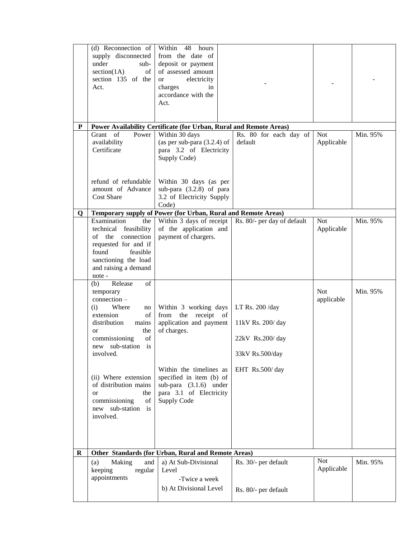|   | (d) Reconnection of<br>supply disconnected<br>under<br>sub-<br>section(1A)<br>of 1<br>section 135 of the<br>Act.                                                                                                                                                                                                           | Within 48<br>hours<br>from the date of<br>deposit or payment<br>of assessed amount<br>electricity<br><sub>or</sub><br>charges<br>in<br>accordance with the<br>Act.                                                  |                                                                                               |                          |          |
|---|----------------------------------------------------------------------------------------------------------------------------------------------------------------------------------------------------------------------------------------------------------------------------------------------------------------------------|---------------------------------------------------------------------------------------------------------------------------------------------------------------------------------------------------------------------|-----------------------------------------------------------------------------------------------|--------------------------|----------|
| P |                                                                                                                                                                                                                                                                                                                            | Power Availability Certificate (for Urban, Rural and Remote Areas)                                                                                                                                                  |                                                                                               |                          |          |
|   | Grant of<br>Power<br>availability<br>Certificate                                                                                                                                                                                                                                                                           | Within 30 days<br>(as per sub-para $(3.2.4)$ of<br>para 3.2 of Electricity<br>Supply Code)                                                                                                                          | Rs. 80 for each day of<br>default                                                             | <b>Not</b><br>Applicable | Min. 95% |
|   | refund of refundable<br>amount of Advance<br><b>Cost Share</b>                                                                                                                                                                                                                                                             | Within 30 days (as per<br>sub-para $(3.2.8)$ of para<br>3.2 of Electricity Supply<br>Code)                                                                                                                          |                                                                                               |                          |          |
| Q |                                                                                                                                                                                                                                                                                                                            | Temporary supply of Power (for Urban, Rural and Remote Areas)                                                                                                                                                       |                                                                                               |                          |          |
|   | Examination<br>the<br>technical feasibility<br>of the connection<br>requested for and if<br>found<br>feasible<br>sanctioning the load<br>and raising a demand<br>note -                                                                                                                                                    | Within 3 days of receipt<br>of the application and<br>payment of chargers.                                                                                                                                          | Rs. 80/- per day of default                                                                   | <b>Not</b><br>Applicable | Min. 95% |
|   | (b)<br>Release<br>of<br>temporary<br>$connection -$<br>Where<br>(i)<br>no<br>extension<br>of<br>distribution<br>mains<br>the<br>or<br>of<br>commissioning<br>new sub-station is<br>involved.<br>(ii) Where extension<br>of distribution mains<br>the<br>$\alpha$<br>of<br>commissioning<br>new sub-station is<br>involved. | Within 3 working days<br>from the receipt of<br>application and payment<br>of charges.<br>Within the timelines as<br>specified in item (b) of<br>sub-para $(3.1.6)$ under<br>para 3.1 of Electricity<br>Supply Code | LT Rs. 200 /day<br>11kV Rs. 200/day<br>$22kV$ Rs.200/day<br>33kV Rs.500/day<br>EHT Rs.500/day | <b>Not</b><br>applicable | Min. 95% |
| R |                                                                                                                                                                                                                                                                                                                            | Other Standards (for Urban, Rural and Remote Areas)                                                                                                                                                                 |                                                                                               |                          |          |
|   | (a)<br>Making<br>and<br>keeping<br>regular<br>appointments                                                                                                                                                                                                                                                                 | a) At Sub-Divisional<br>Level<br>-Twice a week<br>b) At Divisional Level                                                                                                                                            | Rs. 30/- per default<br>Rs. 80/- per default                                                  | <b>Not</b><br>Applicable | Min. 95% |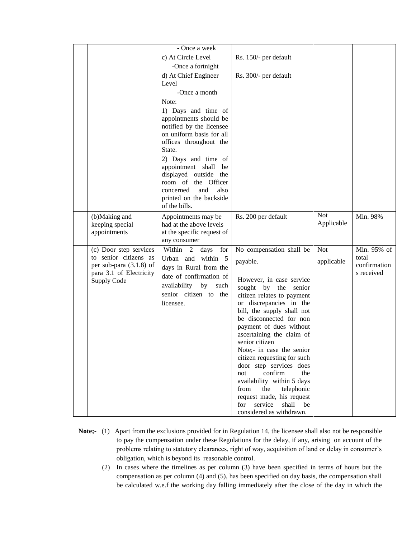|                                        | - Once a week                                      |                                                         |            |              |
|----------------------------------------|----------------------------------------------------|---------------------------------------------------------|------------|--------------|
|                                        | c) At Circle Level                                 | Rs. 150/- per default                                   |            |              |
|                                        | -Once a fortnight                                  |                                                         |            |              |
|                                        | d) At Chief Engineer                               | Rs. 300/- per default                                   |            |              |
|                                        | Level                                              |                                                         |            |              |
|                                        | -Once a month                                      |                                                         |            |              |
|                                        | Note:                                              |                                                         |            |              |
|                                        | 1) Days and time of                                |                                                         |            |              |
|                                        | appointments should be                             |                                                         |            |              |
|                                        | notified by the licensee                           |                                                         |            |              |
|                                        | on uniform basis for all<br>offices throughout the |                                                         |            |              |
|                                        | State.                                             |                                                         |            |              |
|                                        | 2) Days and time of                                |                                                         |            |              |
|                                        | appointment shall<br>be                            |                                                         |            |              |
|                                        | displayed outside the                              |                                                         |            |              |
|                                        | room of the Officer                                |                                                         |            |              |
|                                        | concerned<br>and<br>also                           |                                                         |            |              |
|                                        | printed on the backside<br>of the bills.           |                                                         |            |              |
|                                        |                                                    |                                                         | <b>Not</b> |              |
| (b)Making and<br>keeping special       | Appointments may be<br>had at the above levels     | Rs. 200 per default                                     | Applicable | Min. 98%     |
| appointments                           | at the specific request of                         |                                                         |            |              |
|                                        | any consumer                                       |                                                         |            |              |
| (c) Door step services                 | Within 2<br>days for                               | No compensation shall be                                | <b>Not</b> | Min. 95% of  |
| to senior citizens as                  | Urban and within 5                                 | payable.                                                | applicable | total        |
| per sub-para $(3.1.8)$ of              | days in Rural from the                             |                                                         |            | confirmation |
| para 3.1 of Electricity<br>Supply Code | date of confirmation of                            | However, in case service                                |            | s received   |
|                                        | availability by<br>such                            | sought by the senior                                    |            |              |
|                                        | senior citizen to the                              | citizen relates to payment                              |            |              |
|                                        | licensee.                                          | or discrepancies in the                                 |            |              |
|                                        |                                                    | bill, the supply shall not                              |            |              |
|                                        |                                                    | be disconnected for non                                 |            |              |
|                                        |                                                    | payment of dues without<br>ascertaining the claim of    |            |              |
|                                        |                                                    | senior citizen                                          |            |              |
|                                        |                                                    | Note;- in case the senior                               |            |              |
|                                        |                                                    | citizen requesting for such                             |            |              |
|                                        |                                                    | door step services does                                 |            |              |
|                                        |                                                    | confirm<br>the<br>not                                   |            |              |
|                                        |                                                    | availability within 5 days<br>from<br>the<br>telephonic |            |              |
|                                        |                                                    | request made, his request                               |            |              |
|                                        |                                                    | service<br>shall<br>for<br>be                           |            |              |
|                                        |                                                    | considered as withdrawn.                                |            |              |

- **Note;-** (1) Apart from the exclusions provided for in Regulation 14, the licensee shall also not be responsible to pay the compensation under these Regulations for the delay, if any, arising on account of the problems relating to statutory clearances, right of way, acquisition of land or delay in consumer's obligation, which is beyond its reasonable control.
	- (2) In cases where the timelines as per column (3) have been specified in terms of hours but the compensation as per column (4) and (5), has been specified on day basis, the compensation shall be calculated w.e.f the working day falling immediately after the close of the day in which the